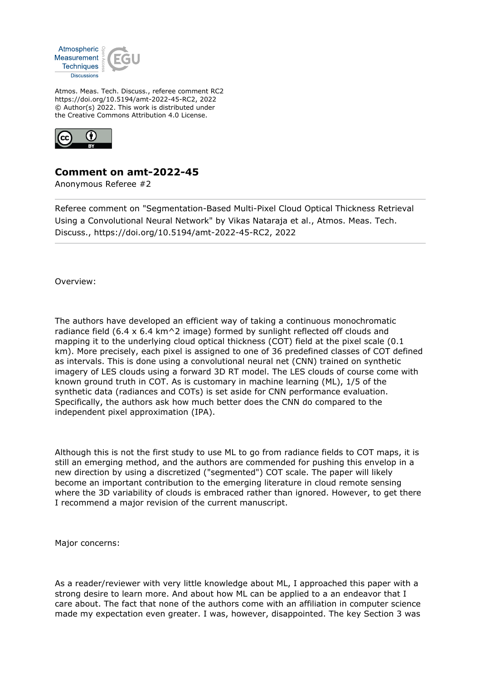

Atmos. Meas. Tech. Discuss., referee comment RC2 https://doi.org/10.5194/amt-2022-45-RC2, 2022 © Author(s) 2022. This work is distributed under the Creative Commons Attribution 4.0 License.



## **Comment on amt-2022-45**

Anonymous Referee #2

Referee comment on "Segmentation-Based Multi-Pixel Cloud Optical Thickness Retrieval Using a Convolutional Neural Network" by Vikas Nataraja et al., Atmos. Meas. Tech. Discuss., https://doi.org/10.5194/amt-2022-45-RC2, 2022

Overview:

The authors have developed an efficient way of taking a continuous monochromatic radiance field (6.4 x 6.4 km $\textdegree$ 2 image) formed by sunlight reflected off clouds and mapping it to the underlying cloud optical thickness (COT) field at the pixel scale (0.1 km). More precisely, each pixel is assigned to one of 36 predefined classes of COT defined as intervals. This is done using a convolutional neural net (CNN) trained on synthetic imagery of LES clouds using a forward 3D RT model. The LES clouds of course come with known ground truth in COT. As is customary in machine learning (ML), 1/5 of the synthetic data (radiances and COTs) is set aside for CNN performance evaluation. Specifically, the authors ask how much better does the CNN do compared to the independent pixel approximation (IPA).

Although this is not the first study to use ML to go from radiance fields to COT maps, it is still an emerging method, and the authors are commended for pushing this envelop in a new direction by using a discretized ("segmented") COT scale. The paper will likely become an important contribution to the emerging literature in cloud remote sensing where the 3D variability of clouds is embraced rather than ignored. However, to get there I recommend a major revision of the current manuscript.

Major concerns:

As a reader/reviewer with very little knowledge about ML, I approached this paper with a strong desire to learn more. And about how ML can be applied to a an endeavor that I care about. The fact that none of the authors come with an affiliation in computer science made my expectation even greater. I was, however, disappointed. The key Section 3 was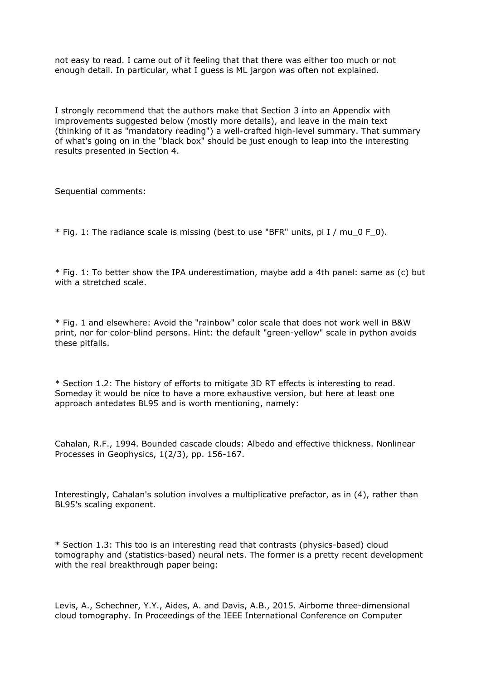not easy to read. I came out of it feeling that that there was either too much or not enough detail. In particular, what I guess is ML jargon was often not explained.

I strongly recommend that the authors make that Section 3 into an Appendix with improvements suggested below (mostly more details), and leave in the main text (thinking of it as "mandatory reading") a well-crafted high-level summary. That summary of what's going on in the "black box" should be just enough to leap into the interesting results presented in Section 4.

Sequential comments:

\* Fig. 1: The radiance scale is missing (best to use "BFR" units, pi I / mu\_0 F\_0).

\* Fig. 1: To better show the IPA underestimation, maybe add a 4th panel: same as (c) but with a stretched scale.

\* Fig. 1 and elsewhere: Avoid the "rainbow" color scale that does not work well in B&W print, nor for color-blind persons. Hint: the default "green-yellow" scale in python avoids these pitfalls.

\* Section 1.2: The history of efforts to mitigate 3D RT effects is interesting to read. Someday it would be nice to have a more exhaustive version, but here at least one approach antedates BL95 and is worth mentioning, namely:

Cahalan, R.F., 1994. Bounded cascade clouds: Albedo and effective thickness. Nonlinear Processes in Geophysics, 1(2/3), pp. 156-167.

Interestingly, Cahalan's solution involves a multiplicative prefactor, as in (4), rather than BL95's scaling exponent.

\* Section 1.3: This too is an interesting read that contrasts (physics-based) cloud tomography and (statistics-based) neural nets. The former is a pretty recent development with the real breakthrough paper being:

Levis, A., Schechner, Y.Y., Aides, A. and Davis, A.B., 2015. Airborne three-dimensional cloud tomography. In Proceedings of the IEEE International Conference on Computer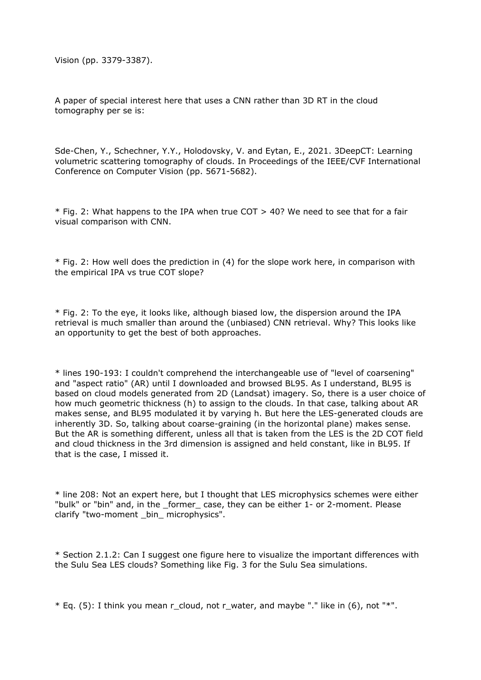Vision (pp. 3379-3387).

A paper of special interest here that uses a CNN rather than 3D RT in the cloud tomography per se is:

Sde-Chen, Y., Schechner, Y.Y., Holodovsky, V. and Eytan, E., 2021. 3DeepCT: Learning volumetric scattering tomography of clouds. In Proceedings of the IEEE/CVF International Conference on Computer Vision (pp. 5671-5682).

\* Fig. 2: What happens to the IPA when true COT > 40? We need to see that for a fair visual comparison with CNN.

\* Fig. 2: How well does the prediction in (4) for the slope work here, in comparison with the empirical IPA vs true COT slope?

\* Fig. 2: To the eye, it looks like, although biased low, the dispersion around the IPA retrieval is much smaller than around the (unbiased) CNN retrieval. Why? This looks like an opportunity to get the best of both approaches.

\* lines 190-193: I couldn't comprehend the interchangeable use of "level of coarsening" and "aspect ratio" (AR) until I downloaded and browsed BL95. As I understand, BL95 is based on cloud models generated from 2D (Landsat) imagery. So, there is a user choice of how much geometric thickness (h) to assign to the clouds. In that case, talking about AR makes sense, and BL95 modulated it by varying h. But here the LES-generated clouds are inherently 3D. So, talking about coarse-graining (in the horizontal plane) makes sense. But the AR is something different, unless all that is taken from the LES is the 2D COT field and cloud thickness in the 3rd dimension is assigned and held constant, like in BL95. If that is the case, I missed it.

\* line 208: Not an expert here, but I thought that LES microphysics schemes were either "bulk" or "bin" and, in the \_former\_ case, they can be either 1- or 2-moment. Please clarify "two-moment \_bin\_ microphysics".

\* Section 2.1.2: Can I suggest one figure here to visualize the important differences with the Sulu Sea LES clouds? Something like Fig. 3 for the Sulu Sea simulations.

 $*$  Eq. (5): I think you mean r\_cloud, not r\_water, and maybe "." like in (6), not " $*$ ".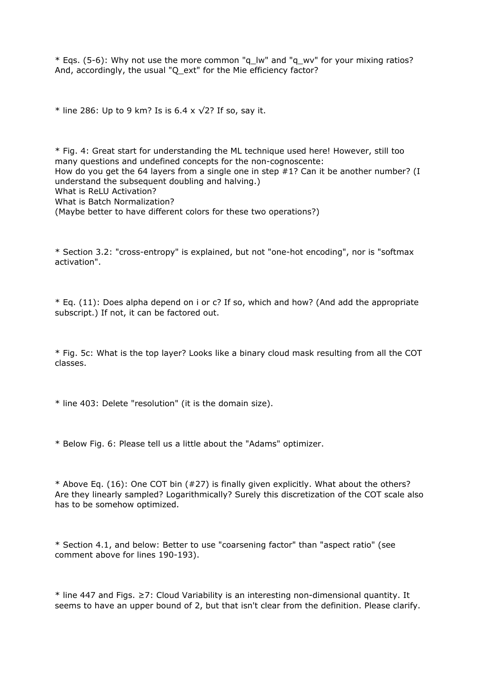$*$  Eqs. (5-6): Why not use the more common "q\_lw" and "q\_wv" for your mixing ratios? And, accordingly, the usual "Q ext" for the Mie efficiency factor?

\* line 286: Up to 9 km? Is is 6.4 x  $\sqrt{2}$ ? If so, say it.

\* Fig. 4: Great start for understanding the ML technique used here! However, still too many questions and undefined concepts for the non-cognoscente: How do you get the 64 layers from a single one in step #1? Can it be another number? (I understand the subsequent doubling and halving.) What is ReLU Activation? What is Batch Normalization? (Maybe better to have different colors for these two operations?)

\* Section 3.2: "cross-entropy" is explained, but not "one-hot encoding", nor is "softmax activation".

\* Eq. (11): Does alpha depend on i or c? If so, which and how? (And add the appropriate subscript.) If not, it can be factored out.

\* Fig. 5c: What is the top layer? Looks like a binary cloud mask resulting from all the COT classes.

\* line 403: Delete "resolution" (it is the domain size).

\* Below Fig. 6: Please tell us a little about the "Adams" optimizer.

\* Above Eq. (16): One COT bin (#27) is finally given explicitly. What about the others? Are they linearly sampled? Logarithmically? Surely this discretization of the COT scale also has to be somehow optimized.

\* Section 4.1, and below: Better to use "coarsening factor" than "aspect ratio" (see comment above for lines 190-193).

\* line 447 and Figs. ≥7: Cloud Variability is an interesting non-dimensional quantity. It seems to have an upper bound of 2, but that isn't clear from the definition. Please clarify.